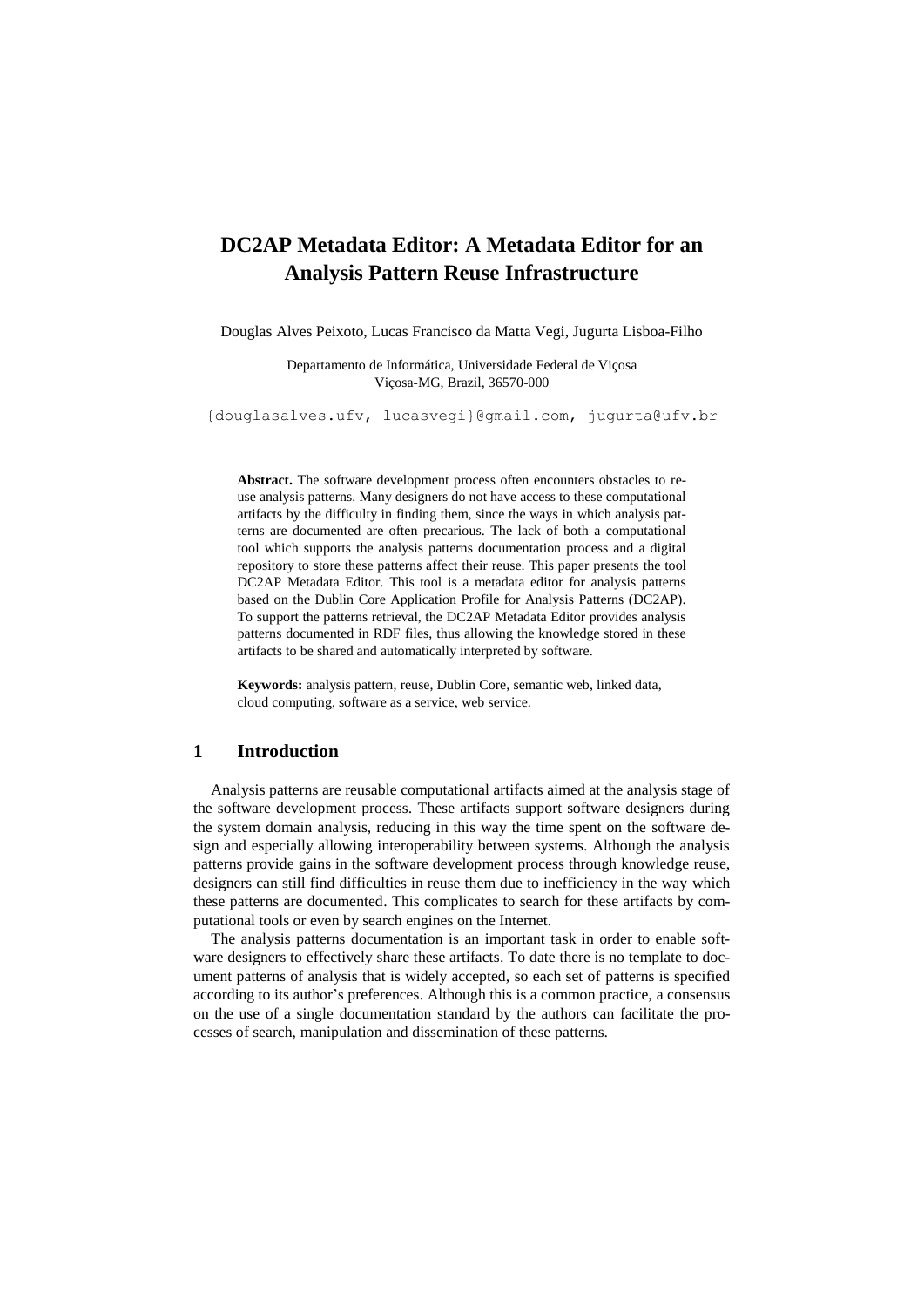# **DC2AP Metadata Editor: A Metadata Editor for an Analysis Pattern Reuse Infrastructure**

Douglas Alves Peixoto, Lucas Francisco da Matta Vegi, Jugurta Lisboa-Filho

Departamento de Informática, Universidade Federal de Viçosa Viçosa-MG, Brazil, 36570-000

{douglasalves.ufv, lucasvegi}@gmail.com, [jugurta@ufv.br](mailto:jugurta@ufv.br)

**Abstract.** The software development process often encounters obstacles to reuse analysis patterns. Many designers do not have access to these computational artifacts by the difficulty in finding them, since the ways in which analysis patterns are documented are often precarious. The lack of both a computational tool which supports the analysis patterns documentation process and a digital repository to store these patterns affect their reuse. This paper presents the tool DC2AP Metadata Editor. This tool is a metadata editor for analysis patterns based on the Dublin Core Application Profile for Analysis Patterns (DC2AP). To support the patterns retrieval, the DC2AP Metadata Editor provides analysis patterns documented in RDF files, thus allowing the knowledge stored in these artifacts to be shared and automatically interpreted by software.

**Keywords:** analysis pattern, reuse, Dublin Core, semantic web, linked data, cloud computing, software as a service, web service.

# **1 Introduction**

Analysis patterns are reusable computational artifacts aimed at the analysis stage of the software development process. These artifacts support software designers during the system domain analysis, reducing in this way the time spent on the software design and especially allowing interoperability between systems. Although the analysis patterns provide gains in the software development process through knowledge reuse, designers can still find difficulties in reuse them due to inefficiency in the way which these patterns are documented. This complicates to search for these artifacts by computational tools or even by search engines on the Internet.

The analysis patterns documentation is an important task in order to enable software designers to effectively share these artifacts. To date there is no template to document patterns of analysis that is widely accepted, so each set of patterns is specified according to its author's preferences. Although this is a common practice, a consensus on the use of a single documentation standard by the authors can facilitate the processes of search, manipulation and dissemination of these patterns.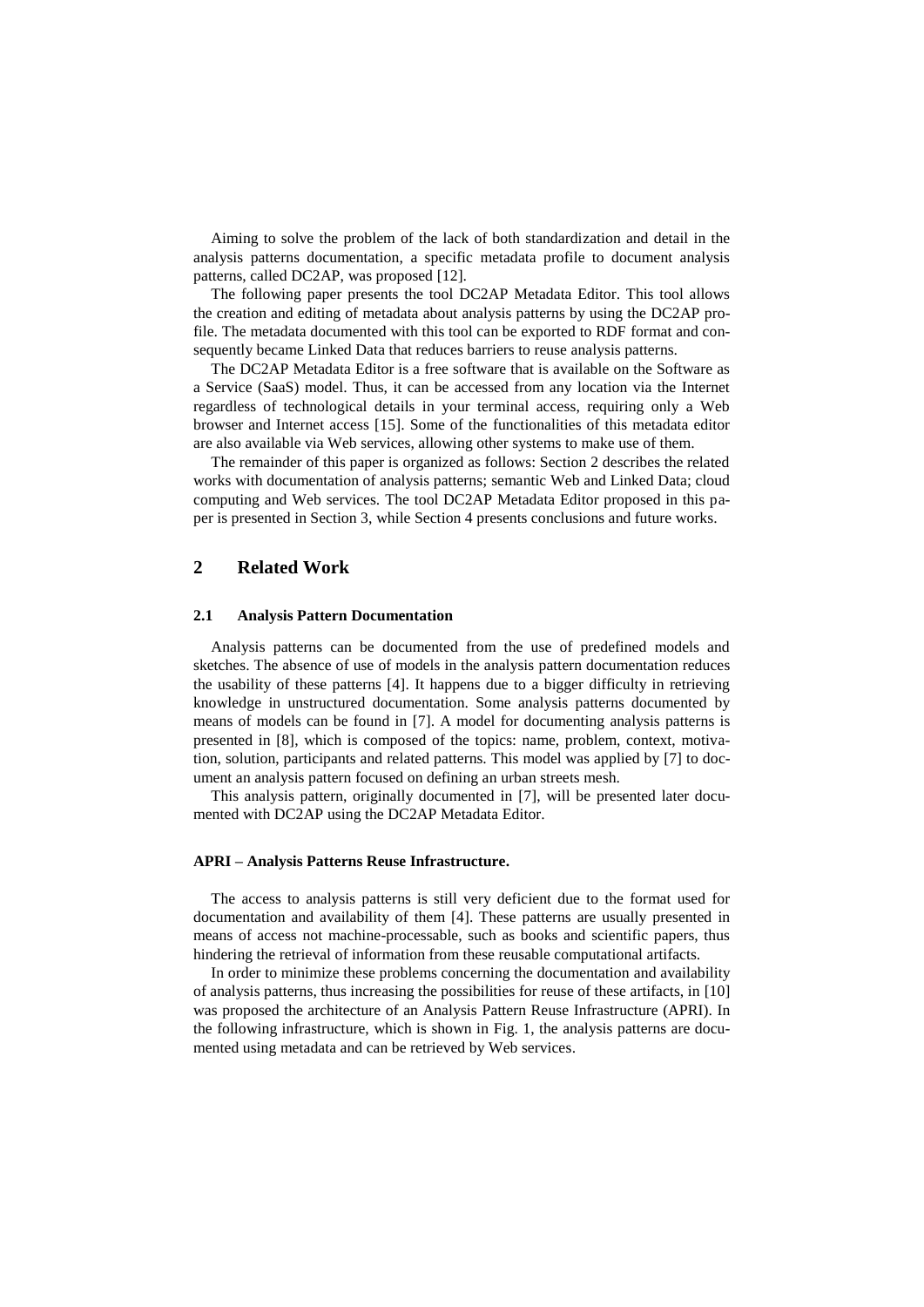Aiming to solve the problem of the lack of both standardization and detail in the analysis patterns documentation, a specific metadata profile to document analysis patterns, called DC2AP, was proposed [12].

The following paper presents the tool DC2AP Metadata Editor. This tool allows the creation and editing of metadata about analysis patterns by using the DC2AP profile. The metadata documented with this tool can be exported to RDF format and consequently became Linked Data that reduces barriers to reuse analysis patterns.

The DC2AP Metadata Editor is a free software that is available on the Software as a Service (SaaS) model. Thus, it can be accessed from any location via the Internet regardless of technological details in your terminal access, requiring only a Web browser and Internet access [15]. Some of the functionalities of this metadata editor are also available via Web services, allowing other systems to make use of them.

The remainder of this paper is organized as follows: Section 2 describes the related works with documentation of analysis patterns; semantic Web and Linked Data; cloud computing and Web services. The tool DC2AP Metadata Editor proposed in this paper is presented in Section 3, while Section 4 presents conclusions and future works.

# **2 Related Work**

#### **2.1 Analysis Pattern Documentation**

Analysis patterns can be documented from the use of predefined models and sketches. The absence of use of models in the analysis pattern documentation reduces the usability of these patterns [4]. It happens due to a bigger difficulty in retrieving knowledge in unstructured documentation. Some analysis patterns documented by means of models can be found in [7]. A model for documenting analysis patterns is presented in [8], which is composed of the topics: name, problem, context, motivation, solution, participants and related patterns. This model was applied by [7] to document an analysis pattern focused on defining an urban streets mesh.

This analysis pattern, originally documented in [7], will be presented later documented with DC2AP using the DC2AP Metadata Editor.

#### **APRI – Analysis Patterns Reuse Infrastructure.**

The access to analysis patterns is still very deficient due to the format used for documentation and availability of them [4]. These patterns are usually presented in means of access not machine-processable, such as books and scientific papers, thus hindering the retrieval of information from these reusable computational artifacts.

In order to minimize these problems concerning the documentation and availability of analysis patterns, thus increasing the possibilities for reuse of these artifacts, in [10] was proposed the architecture of an Analysis Pattern Reuse Infrastructure (APRI). In the following infrastructure, which is shown in Fig. 1, the analysis patterns are documented using metadata and can be retrieved by Web services.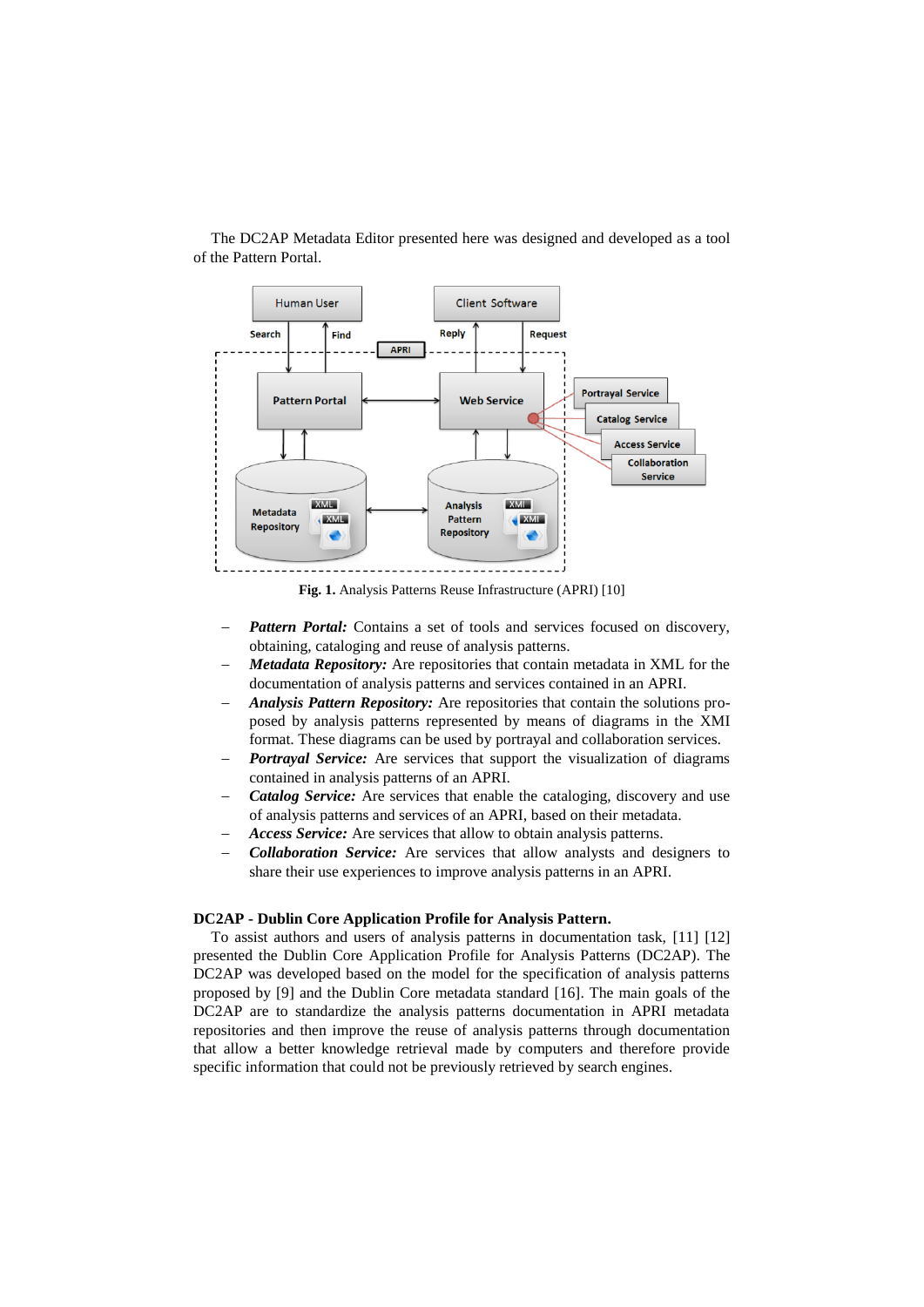

The DC2AP Metadata Editor presented here was designed and developed as a tool of the Pattern Portal.

**Fig. 1.** Analysis Patterns Reuse Infrastructure (APRI) [10]

- *Pattern Portal:* Contains a set of tools and services focused on discovery, obtaining, cataloging and reuse of analysis patterns.
- *Metadata Repository:* Are repositories that contain metadata in XML for the documentation of analysis patterns and services contained in an APRI.
- *Analysis Pattern Repository:* Are repositories that contain the solutions proposed by analysis patterns represented by means of diagrams in the XMI format. These diagrams can be used by portrayal and collaboration services.
- *Portrayal Service:* Are services that support the visualization of diagrams contained in analysis patterns of an APRI.
- *Catalog Service:* Are services that enable the cataloging, discovery and use of analysis patterns and services of an APRI, based on their metadata.
- *Access Service:* Are services that allow to obtain analysis patterns.
- *Collaboration Service:* Are services that allow analysts and designers to share their use experiences to improve analysis patterns in an APRI.

#### **DC2AP - Dublin Core Application Profile for Analysis Pattern.**

To assist authors and users of analysis patterns in documentation task, [11] [12] presented the Dublin Core Application Profile for Analysis Patterns (DC2AP). The DC2AP was developed based on the model for the specification of analysis patterns proposed by [9] and the Dublin Core metadata standard [16]. The main goals of the DC2AP are to standardize the analysis patterns documentation in APRI metadata repositories and then improve the reuse of analysis patterns through documentation that allow a better knowledge retrieval made by computers and therefore provide specific information that could not be previously retrieved by search engines.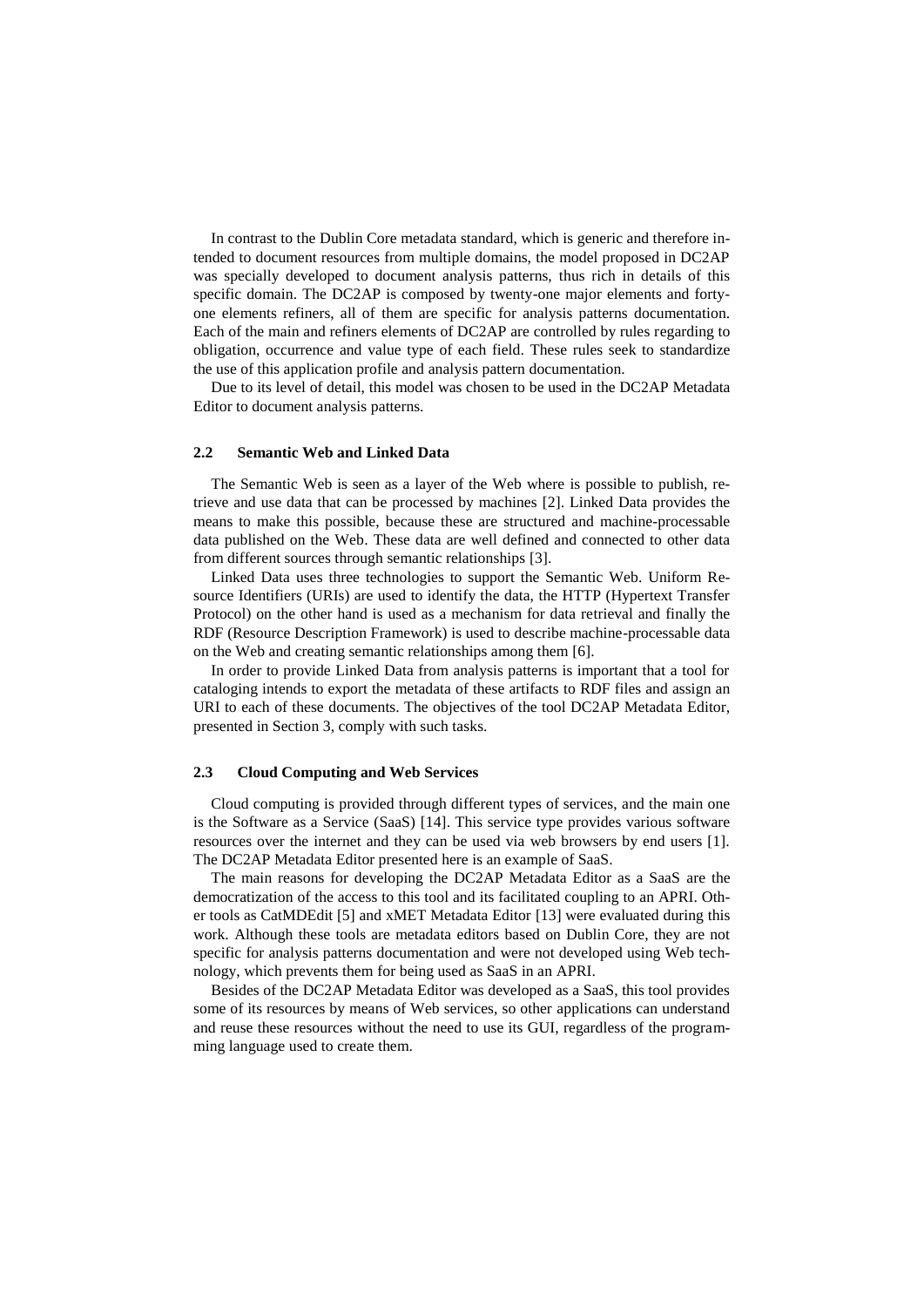In contrast to the Dublin Core metadata standard, which is generic and therefore intended to document resources from multiple domains, the model proposed in DC2AP was specially developed to document analysis patterns, thus rich in details of this specific domain. The DC2AP is composed by twenty-one major elements and fortyone elements refiners, all of them are specific for analysis patterns documentation. Each of the main and refiners elements of DC2AP are controlled by rules regarding to obligation, occurrence and value type of each field. These rules seek to standardize the use of this application profile and analysis pattern documentation.

Due to its level of detail, this model was chosen to be used in the DC2AP Metadata Editor to document analysis patterns.

#### **2.2 Semantic Web and Linked Data**

The Semantic Web is seen as a layer of the Web where is possible to publish, retrieve and use data that can be processed by machines [2]. Linked Data provides the means to make this possible, because these are structured and machine-processable data published on the Web. These data are well defined and connected to other data from different sources through semantic relationships [3].

Linked Data uses three technologies to support the Semantic Web. Uniform Resource Identifiers (URIs) are used to identify the data, the HTTP (Hypertext Transfer Protocol) on the other hand is used as a mechanism for data retrieval and finally the RDF (Resource Description Framework) is used to describe machine-processable data on the Web and creating semantic relationships among them [6].

In order to provide Linked Data from analysis patterns is important that a tool for cataloging intends to export the metadata of these artifacts to RDF files and assign an URI to each of these documents. The objectives of the tool DC2AP Metadata Editor, presented in Section 3, comply with such tasks.

### **2.3 Cloud Computing and Web Services**

Cloud computing is provided through different types of services, and the main one is the Software as a Service (SaaS) [14]. This service type provides various software resources over the internet and they can be used via web browsers by end users [1]. The DC2AP Metadata Editor presented here is an example of SaaS.

The main reasons for developing the DC2AP Metadata Editor as a SaaS are the democratization of the access to this tool and its facilitated coupling to an APRI. Other tools as CatMDEdit [5] and xMET Metadata Editor [13] were evaluated during this work. Although these tools are metadata editors based on Dublin Core, they are not specific for analysis patterns documentation and were not developed using Web technology, which prevents them for being used as SaaS in an APRI.

Besides of the DC2AP Metadata Editor was developed as a SaaS, this tool provides some of its resources by means of Web services, so other applications can understand and reuse these resources without the need to use its GUI, regardless of the programming language used to create them.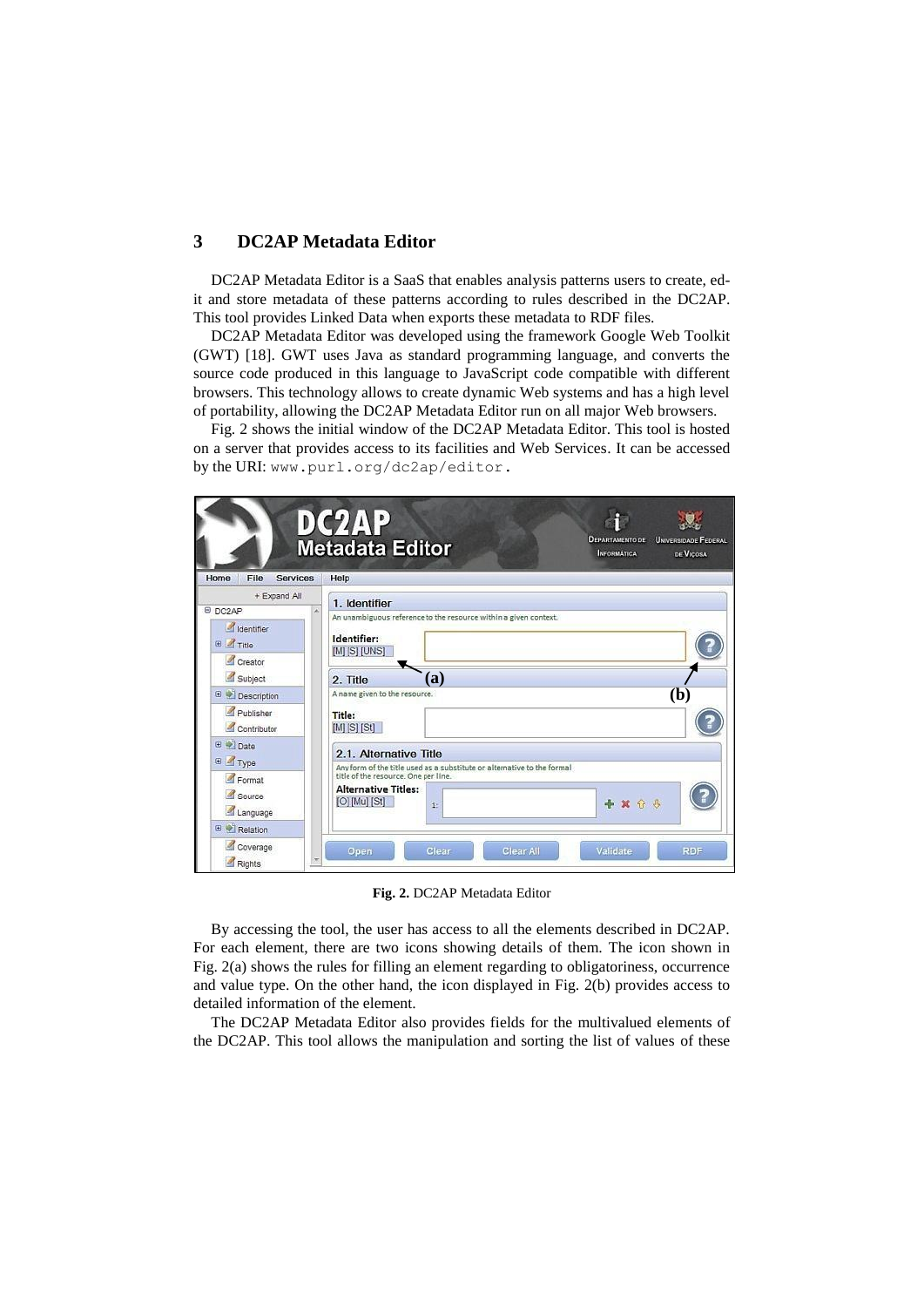# **3 DC2AP Metadata Editor**

DC2AP Metadata Editor is a SaaS that enables analysis patterns users to create, edit and store metadata of these patterns according to rules described in the DC2AP. This tool provides Linked Data when exports these metadata to RDF files.

DC2AP Metadata Editor was developed using the framework Google Web Toolkit (GWT) [18]. GWT uses Java as standard programming language, and converts the source code produced in this language to JavaScript code compatible with different browsers. This technology allows to create dynamic Web systems and has a high level of portability, allowing the DC2AP Metadata Editor run on all major Web browsers.

Fig. 2 shows the initial window of the DC2AP Metadata Editor. This tool is hosted on a server that provides access to its facilities and Web Services. It can be accessed by the URI: [www.purl.org/dc2ap/editor.](http://www.purl.org/dc2ap/editor)

| + Expand All<br>E DC2AP       |                                                                                                            |
|-------------------------------|------------------------------------------------------------------------------------------------------------|
|                               | 1. Identifier                                                                                              |
| dentifier<br><b>E</b> Title   | An unambiguous reference to the resource within a given context.<br>Identifier:<br>[M] [S] [UNS]           |
| Creator<br>Subject            | (a)<br>2. Title                                                                                            |
| <b>E</b> <i>L</i> Description | A name given to the resource.<br>(b)                                                                       |
| Publisher<br>Contributor      | Title:<br>$[M]$ $[S]$ $[St]$                                                                               |
| ⊕ → Date<br>E Type            | 2.1. Alternative Title<br>Any form of the title used as a substitute or alternative to the formal          |
| Format<br>Source<br>Language  | title of the resource. One per line.<br><b>Alternative Titles:</b><br>$[O]$ $[Mu]$ $[St]$<br>+ x + 3<br>3: |

**Fig. 2.** DC2AP Metadata Editor

By accessing the tool, the user has access to all the elements described in DC2AP. For each element, there are two icons showing details of them. The icon shown in Fig. 2(a) shows the rules for filling an element regarding to obligatoriness, occurrence and value type. On the other hand, the icon displayed in Fig. 2(b) provides access to detailed information of the element.

The DC2AP Metadata Editor also provides fields for the multivalued elements of the DC2AP. This tool allows the manipulation and sorting the list of values of these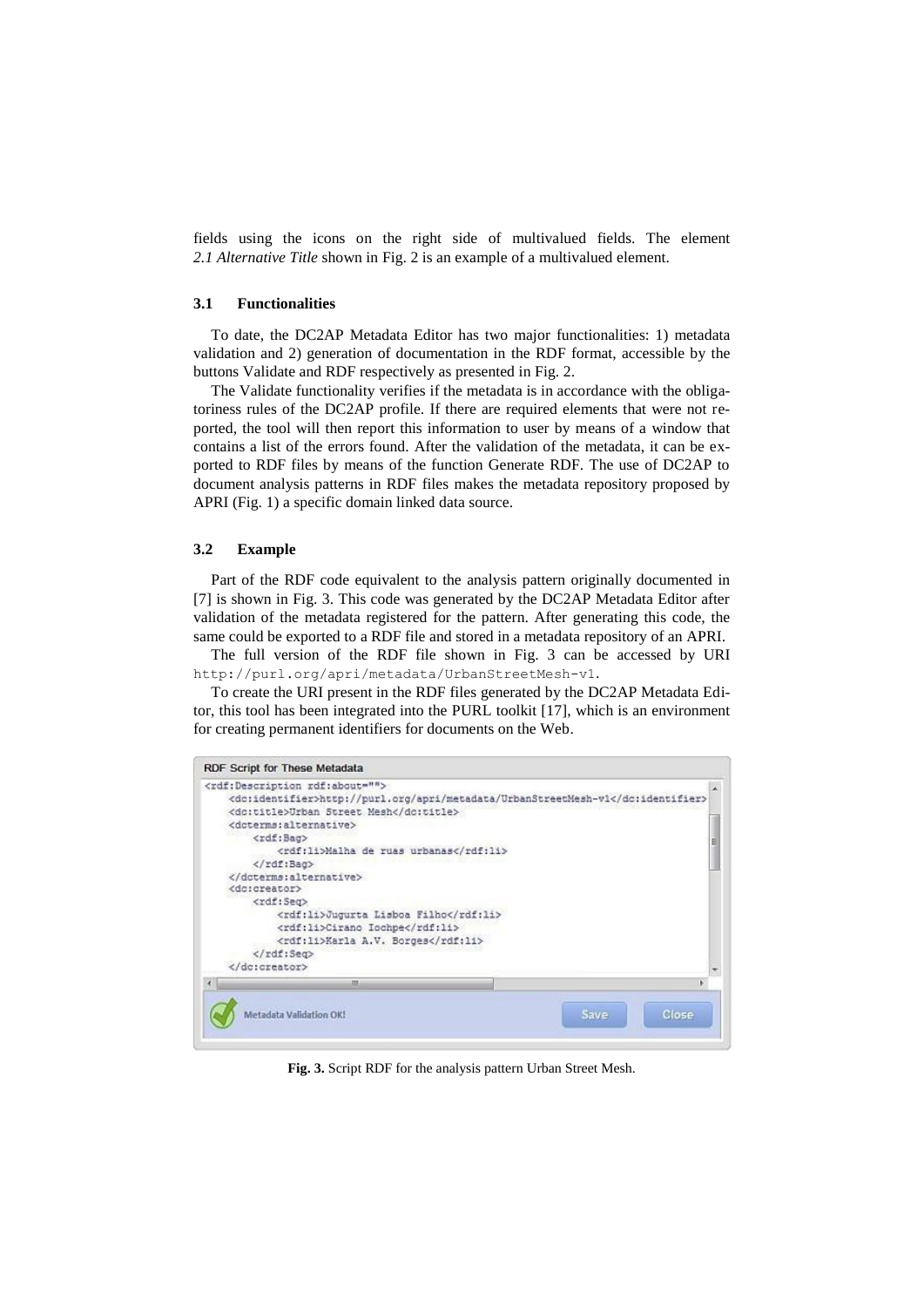fields using the icons on the right side of multivalued fields. The element *2.1 Alternative Title* shown in Fig. 2 is an example of a multivalued element.

#### **3.1 Functionalities**

To date, the DC2AP Metadata Editor has two major functionalities: 1) metadata validation and 2) generation of documentation in the RDF format, accessible by the buttons Validate and RDF respectively as presented in Fig. 2.

The Validate functionality verifies if the metadata is in accordance with the obligatoriness rules of the DC2AP profile. If there are required elements that were not reported, the tool will then report this information to user by means of a window that contains a list of the errors found. After the validation of the metadata, it can be exported to RDF files by means of the function Generate RDF. The use of DC2AP to document analysis patterns in RDF files makes the metadata repository proposed by APRI (Fig. 1) a specific domain linked data source.

#### **3.2 Example**

Part of the RDF code equivalent to the analysis pattern originally documented in [7] is shown in Fig. 3. This code was generated by the DC2AP Metadata Editor after validation of the metadata registered for the pattern. After generating this code, the same could be exported to a RDF file and stored in a metadata repository of an APRI.

The full version of the RDF file shown in Fig. 3 can be accessed by URI <http://purl.org/apri/metadata/UrbanStreetMesh-v1>.

To create the URI present in the RDF files generated by the DC2AP Metadata Editor, this tool has been integrated into the PURL toolkit [17], which is an environment for creating permanent identifiers for documents on the Web.

| RDF Script for These Metadata                                                                                                                                                                                                                                                                      |               |
|----------------------------------------------------------------------------------------------------------------------------------------------------------------------------------------------------------------------------------------------------------------------------------------------------|---------------|
| <rdf:description rdf:about=""><br/><dc:identifier>http://purl.org/apri/metadata/UrbanStreetMesh-v1</dc:identifier><br/><dc:title>Urban Street Mesh</dc:title><br/><doterms:alternative><br/><rdf:bag><br/><rdf:li>Malha de ruas urbanas</rdf:li></rdf:bag></doterms:alternative></rdf:description> |               |
|                                                                                                                                                                                                                                                                                                    |               |
| <br><dc:creator><br/><rdf:sea><br/><rdf:li>Jugurta Lisboa Filho</rdf:li><br/><rdf:li>Cirano Iochpe</rdf:li><br/><rdf:11>Karla A.V. Borges</rdf:11><br/><math>\langle \rangle</math>rdf:Seq&gt;<br/></rdf:sea></dc:creator>                                                                         |               |
| m                                                                                                                                                                                                                                                                                                  |               |
| Metadata Validation OK!                                                                                                                                                                                                                                                                            | Close<br>Save |

**Fig. 3.** Script RDF for the analysis pattern Urban Street Mesh.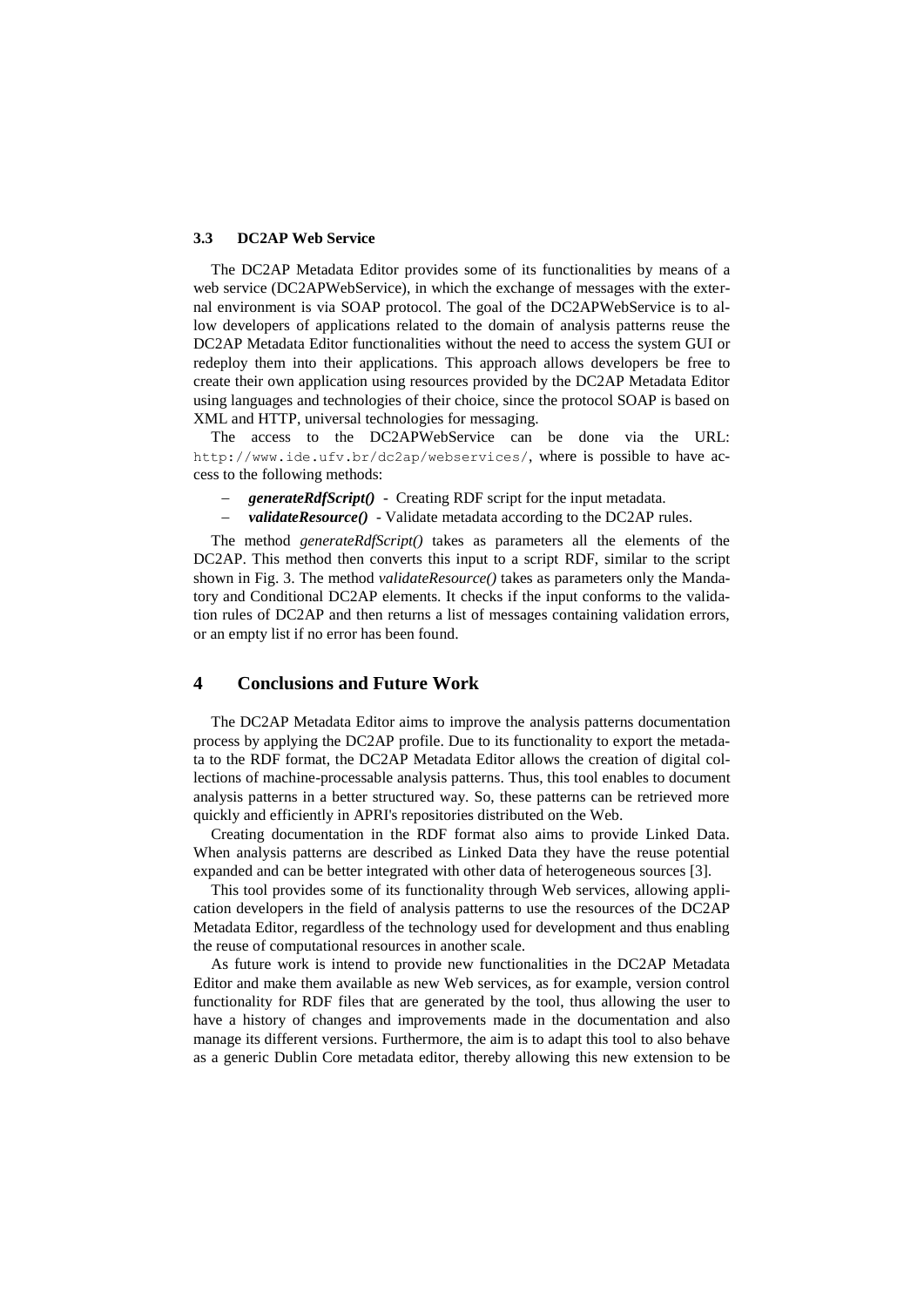#### **3.3 DC2AP Web Service**

The DC2AP Metadata Editor provides some of its functionalities by means of a web service (DC2APWebService), in which the exchange of messages with the external environment is via SOAP protocol. The goal of the DC2APWebService is to allow developers of applications related to the domain of analysis patterns reuse the DC2AP Metadata Editor functionalities without the need to access the system GUI or redeploy them into their applications. This approach allows developers be free to create their own application using resources provided by the DC2AP Metadata Editor using languages and technologies of their choice, since the protocol SOAP is based on XML and HTTP, universal technologies for messaging.

The access to the DC2APWebService can be done via the URL: http://www.ide.ufv.br/dc2ap/webservices/, where is possible to have access to the following methods:

- *generateRdfScript()*  Creating RDF script for the input metadata.
- *validateResource()*  Validate metadata according to the DC2AP rules.

The method *generateRdfScript()* takes as parameters all the elements of the DC2AP. This method then converts this input to a script RDF, similar to the script shown in Fig. 3. The method *validateResource()* takes as parameters only the Mandatory and Conditional DC2AP elements. It checks if the input conforms to the validation rules of DC2AP and then returns a list of messages containing validation errors, or an empty list if no error has been found.

# **4 Conclusions and Future Work**

The DC2AP Metadata Editor aims to improve the analysis patterns documentation process by applying the DC2AP profile. Due to its functionality to export the metadata to the RDF format, the DC2AP Metadata Editor allows the creation of digital collections of machine-processable analysis patterns. Thus, this tool enables to document analysis patterns in a better structured way. So, these patterns can be retrieved more quickly and efficiently in APRI's repositories distributed on the Web.

Creating documentation in the RDF format also aims to provide Linked Data. When analysis patterns are described as Linked Data they have the reuse potential expanded and can be better integrated with other data of heterogeneous sources [3].

This tool provides some of its functionality through Web services, allowing application developers in the field of analysis patterns to use the resources of the DC2AP Metadata Editor, regardless of the technology used for development and thus enabling the reuse of computational resources in another scale.

As future work is intend to provide new functionalities in the DC2AP Metadata Editor and make them available as new Web services, as for example, version control functionality for RDF files that are generated by the tool, thus allowing the user to have a history of changes and improvements made in the documentation and also manage its different versions. Furthermore, the aim is to adapt this tool to also behave as a generic Dublin Core metadata editor, thereby allowing this new extension to be